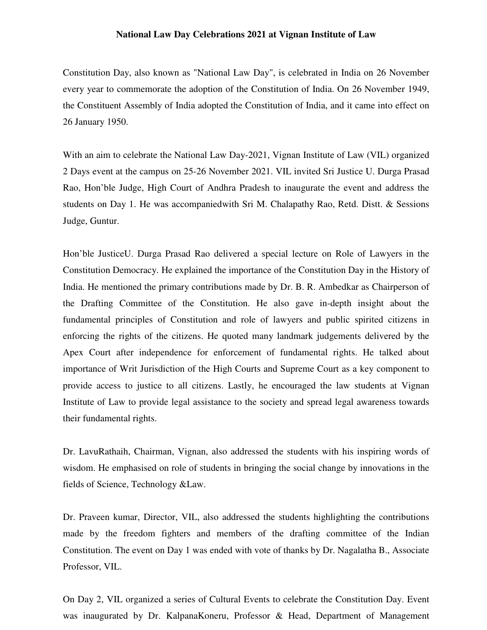## **National Law Day Celebrations 2021 at Vignan Institute of Law**

Constitution Day, also known as "National Law Day", is celebrated in India on 26 November every year to commemorate the adoption of the Constitution of India. On 26 November 1949, the Constituent Assembly of India adopted the Constitution of India, and it came into effect on 26 January 1950.

With an aim to celebrate the National Law Day-2021, Vignan Institute of Law (VIL) organized 2 Days event at the campus on 25-26 November 2021. VIL invited Sri Justice U. Durga Prasad Rao, Hon'ble Judge, High Court of Andhra Pradesh to inaugurate the event and address the students on Day 1. He was accompaniedwith Sri M. Chalapathy Rao, Retd. Distt. & Sessions Judge, Guntur.

Hon'ble JusticeU. Durga Prasad Rao delivered a special lecture on Role of Lawyers in the Constitution Democracy. He explained the importance of the Constitution Day in the History of India. He mentioned the primary contributions made by Dr. B. R. Ambedkar as Chairperson of the Drafting Committee of the Constitution. He also gave in-depth insight about the fundamental principles of Constitution and role of lawyers and public spirited citizens in enforcing the rights of the citizens. He quoted many landmark judgements delivered by the Apex Court after independence for enforcement of fundamental rights. He talked about importance of Writ Jurisdiction of the High Courts and Supreme Court as a key component to provide access to justice to all citizens. Lastly, he encouraged the law students at Vignan Institute of Law to provide legal assistance to the society and spread legal awareness towards their fundamental rights.

Dr. LavuRathaih, Chairman, Vignan, also addressed the students with his inspiring words of wisdom. He emphasised on role of students in bringing the social change by innovations in the fields of Science, Technology &Law.

Dr. Praveen kumar, Director, VIL, also addressed the students highlighting the contributions made by the freedom fighters and members of the drafting committee of the Indian Constitution. The event on Day 1 was ended with vote of thanks by Dr. Nagalatha B., Associate Professor, VIL.

On Day 2, VIL organized a series of Cultural Events to celebrate the Constitution Day. Event was inaugurated by Dr. KalpanaKoneru, Professor & Head, Department of Management